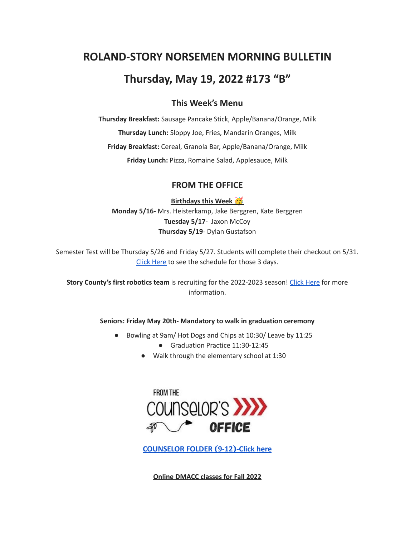# **ROLAND-STORY NORSEMEN MORNING BULLETIN**

# **Thursday, May 19, 2022 #173 "B"**

# **This Week's Menu**

**Thursday Breakfast:** Sausage Pancake Stick, Apple/Banana/Orange, Milk **Thursday Lunch:** Sloppy Joe, Fries, Mandarin Oranges, Milk **Friday Breakfast:** Cereal, Granola Bar, Apple/Banana/Orange, Milk **Friday Lunch:** Pizza, Romaine Salad, Applesauce, Milk

## **FROM THE OFFICE**

**Birthdays this Week Monday 5/16-** Mrs. Heisterkamp, Jake Berggren, Kate Berggren **Tuesday 5/17-** Jaxon McCoy **Thursday 5/19**- Dylan Gustafson

Semester Test will be Thursday 5/26 and Friday 5/27. Students will complete their checkout on 5/31. Click [Here](https://drive.google.com/file/d/1f_W_f9rcsywnweiwi6fCuPDOMZBp9ou-/view?usp=sharing) to see the schedule for those 3 days.

**Story County's first robotics team** is recruiting for the 2022-2023 season! Click [Here](https://www.youtube.com/watch?v=DJLEO_voM-8) for more information.

**Seniors: Friday May 20th- Mandatory to walk in graduation ceremony**

- Bowling at 9am/ Hot Dogs and Chips at 10:30/ Leave by 11:25
	- Graduation Practice 11:30-12:45
	- Walk through the elementary school at 1:30



**[COUNSELOR FOLDER](https://docs.google.com/document/d/1vmwczNPbDzXe9vFaG5LJMQ7NYDv-i4oQJHybqA65TUc/edit?usp=sharing) (9-12)-Click here**

**Online DMACC classes for Fall 2022**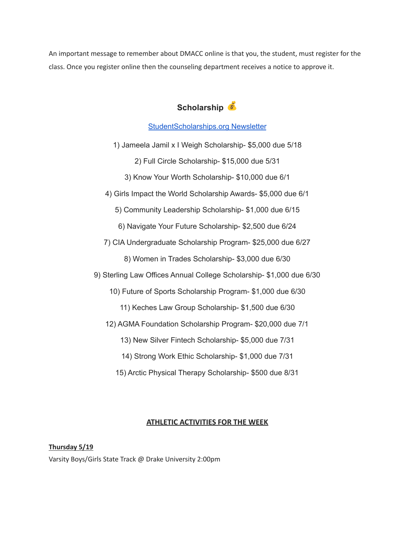An important message to remember about DMACC online is that you, the student, must register for the class. Once you register online then the counseling department receives a notice to approve it.

# **Scholarship**

### [StudentScholarships.org](https://drive.google.com/file/d/1qEKcx3GVK6vi8DB_QD_Px65Do1Dedcz6/view?usp=sharing) Newsletter

1) Jameela Jamil x I Weigh Scholarship- \$5,000 due 5/18

2) Full Circle Scholarship- \$15,000 due 5/31

3) Know Your Worth Scholarship- \$10,000 due 6/1

4) Girls Impact the World Scholarship Awards- \$5,000 due 6/1

5) Community Leadership Scholarship- \$1,000 due 6/15

6) Navigate Your Future Scholarship- \$2,500 due 6/24

7) CIA Undergraduate Scholarship Program- \$25,000 due 6/27

8) Women in Trades Scholarship- \$3,000 due 6/30

9) Sterling Law Offices Annual College Scholarship- \$1,000 due 6/30

10) Future of Sports Scholarship Program- \$1,000 due 6/30

11) Keches Law Group Scholarship- \$1,500 due 6/30

12) AGMA Foundation Scholarship Program- \$20,000 due 7/1

13) New Silver Fintech Scholarship- \$5,000 due 7/31

14) Strong Work Ethic Scholarship- \$1,000 due 7/31

15) Arctic Physical Therapy Scholarship- \$500 due 8/31

#### **ATHLETIC ACTIVITIES FOR THE WEEK**

**Thursday 5/19** Varsity Boys/Girls State Track @ Drake University 2:00pm